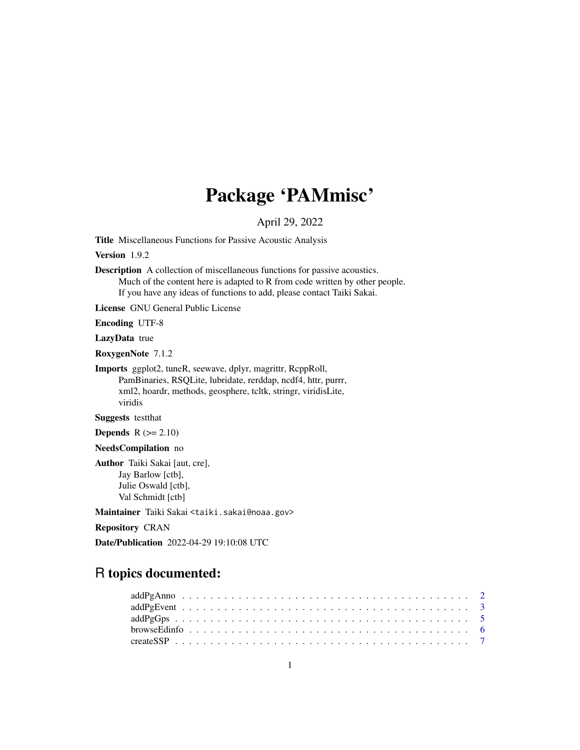# Package 'PAMmisc'

# April 29, 2022

<span id="page-0-0"></span>Title Miscellaneous Functions for Passive Acoustic Analysis

Version 1.9.2

Description A collection of miscellaneous functions for passive acoustics. Much of the content here is adapted to R from code written by other people. If you have any ideas of functions to add, please contact Taiki Sakai.

License GNU General Public License

Encoding UTF-8

LazyData true

RoxygenNote 7.1.2

Imports ggplot2, tuneR, seewave, dplyr, magrittr, RcppRoll, PamBinaries, RSQLite, lubridate, rerddap, ncdf4, httr, purrr, xml2, hoardr, methods, geosphere, tcltk, stringr, viridisLite, viridis

Suggests testthat

**Depends**  $R$  ( $>= 2.10$ )

NeedsCompilation no

Author Taiki Sakai [aut, cre], Jay Barlow [ctb], Julie Oswald [ctb], Val Schmidt [ctb]

Maintainer Taiki Sakai <taiki.sakai@noaa.gov>

Repository CRAN

Date/Publication 2022-04-29 19:10:08 UTC

# R topics documented: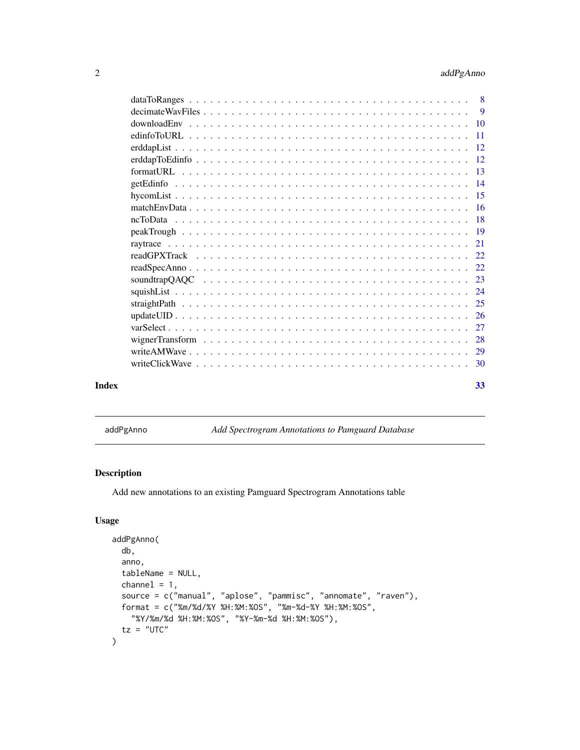<span id="page-1-0"></span>

|       | $decimate WavFiles \dots \dots \dots \dots \dots \dots \dots \dots \dots \dots \dots \dots \dots \dots \dots$ |    |
|-------|---------------------------------------------------------------------------------------------------------------|----|
|       |                                                                                                               |    |
|       |                                                                                                               |    |
|       |                                                                                                               |    |
|       |                                                                                                               |    |
|       |                                                                                                               |    |
|       |                                                                                                               |    |
|       |                                                                                                               |    |
|       |                                                                                                               |    |
|       |                                                                                                               |    |
|       |                                                                                                               |    |
|       |                                                                                                               |    |
|       |                                                                                                               |    |
|       |                                                                                                               |    |
|       |                                                                                                               |    |
|       |                                                                                                               |    |
|       |                                                                                                               |    |
|       |                                                                                                               |    |
|       |                                                                                                               |    |
|       |                                                                                                               |    |
|       |                                                                                                               |    |
|       |                                                                                                               |    |
| Index |                                                                                                               | 33 |

addPgAnno *Add Spectrogram Annotations to Pamguard Database*

# Description

Add new annotations to an existing Pamguard Spectrogram Annotations table

# Usage

```
addPgAnno(
  db,
  anno,
  tableName = NULL,
  channel = 1,
  source = c("manual", "aplose", "pammisc", "annomate", "raven"),
  format = c("%m/%d/%Y %H:%M:%OS", "%m-%d-%Y %H:%M:%OS",
    "%Y/%m/%d %H:%M:%OS", "%Y-%m-%d %H:%M:%OS"),
  tz = "UTC"\mathcal{L}
```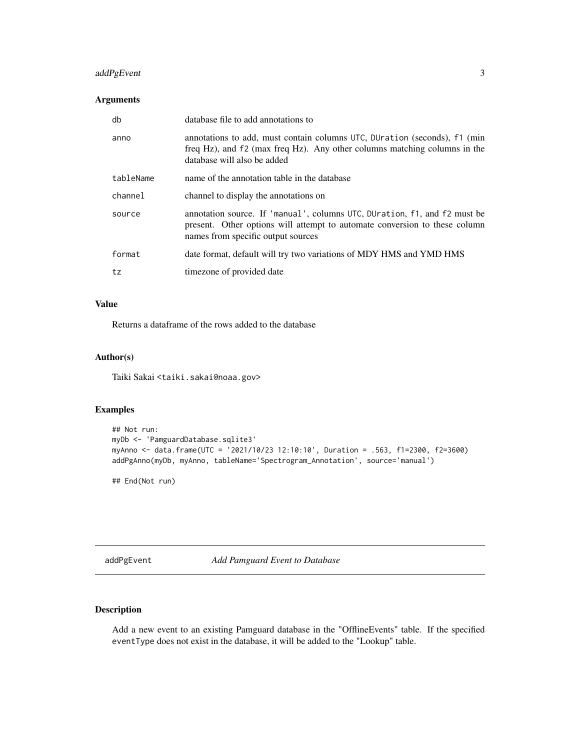# <span id="page-2-0"></span>addPgEvent 3

# Arguments

| db        | database file to add annotations to                                                                                                                                                           |
|-----------|-----------------------------------------------------------------------------------------------------------------------------------------------------------------------------------------------|
| anno      | annotations to add, must contain columns UTC, DUration (seconds), f1 (min<br>freq Hz), and f2 (max freq Hz). Any other columns matching columns in the<br>database will also be added         |
| tableName | name of the annotation table in the database                                                                                                                                                  |
| channel   | channel to display the annotations on                                                                                                                                                         |
| source    | annotation source. If 'manual', columns UTC, DUration, f1, and f2 must be<br>present. Other options will attempt to automate conversion to these column<br>names from specific output sources |
| format    | date format, default will try two variations of MDY HMS and YMD HMS                                                                                                                           |
| tz        | timezone of provided date                                                                                                                                                                     |

# Value

Returns a dataframe of the rows added to the database

#### Author(s)

Taiki Sakai <taiki.sakai@noaa.gov>

#### Examples

```
## Not run:
myDb <- 'PamguardDatabase.sqlite3'
myAnno <- data.frame(UTC = '2021/10/23 12:10:10', Duration = .563, f1=2300, f2=3600)
addPgAnno(myDb, myAnno, tableName='Spectrogram_Annotation', source='manual')
```
## End(Not run)

addPgEvent *Add Pamguard Event to Database*

# Description

Add a new event to an existing Pamguard database in the "OfflineEvents" table. If the specified eventType does not exist in the database, it will be added to the "Lookup" table.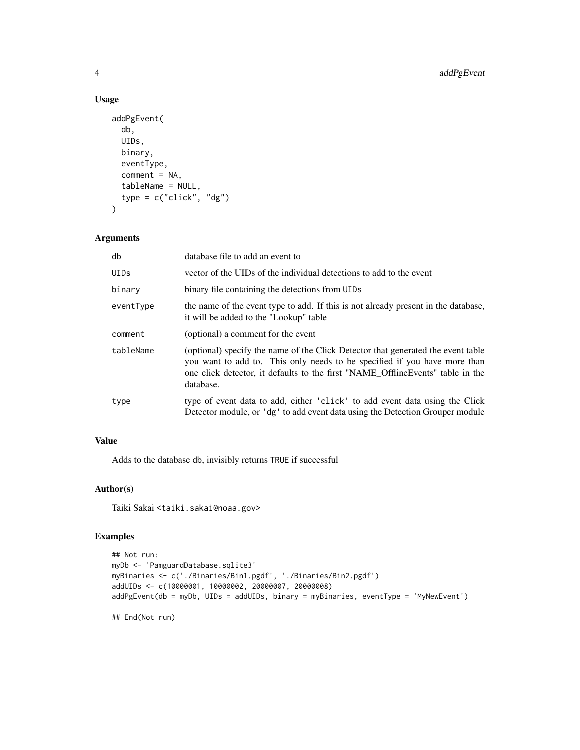# Usage

```
addPgEvent(
  db,
 UIDs,
 binary,
 eventType,
  comment = NA,tableName = NULL,
  type = c("click", "dg")
)
```
#### Arguments

| db          | database file to add an event to                                                                                                                                                                                                                              |
|-------------|---------------------------------------------------------------------------------------------------------------------------------------------------------------------------------------------------------------------------------------------------------------|
| <b>UIDs</b> | vector of the UIDs of the individual detections to add to the event                                                                                                                                                                                           |
| binary      | binary file containing the detections from UIDs                                                                                                                                                                                                               |
| eventType   | the name of the event type to add. If this is not already present in the database,<br>it will be added to the "Lookup" table                                                                                                                                  |
| comment     | (optional) a comment for the event                                                                                                                                                                                                                            |
| tableName   | (optional) specify the name of the Click Detector that generated the event table<br>you want to add to. This only needs to be specified if you have more than<br>one click detector, it defaults to the first "NAME Offline Events" table in the<br>database. |
| type        | type of event data to add, either 'click' to add event data using the Click<br>Detector module, or 'dg' to add event data using the Detection Grouper module                                                                                                  |

# Value

Adds to the database db, invisibly returns TRUE if successful

# Author(s)

Taiki Sakai <taiki.sakai@noaa.gov>

```
## Not run:
myDb <- 'PamguardDatabase.sqlite3'
myBinaries <- c('./Binaries/Bin1.pgdf', './Binaries/Bin2.pgdf')
addUIDs <- c(10000001, 10000002, 20000007, 20000008)
addPgEvent(db = myDb, UIDs = addUIDs, binary = myBinaries, eventType = 'MyNewEvent')
## End(Not run)
```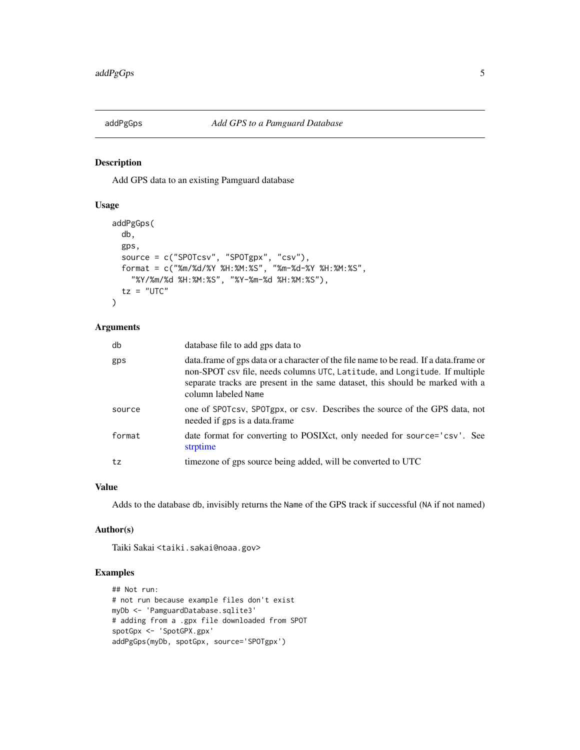<span id="page-4-0"></span>

Add GPS data to an existing Pamguard database

#### Usage

```
addPgGps(
  db,
 gps,
  source = c("SPOTcsv", "SPOTgpx", "csv"),
 format = c("%m/%d/%Y %H:%M:%S", "%m-%d-%Y %H:%M:%S",
    "%Y/%m/%d %H:%M:%S", "%Y-%m-%d %H:%M:%S"),
  tz = "UTC")
```
# Arguments

| db     | database file to add gps data to                                                                                                                                                                                                                                              |
|--------|-------------------------------------------------------------------------------------------------------------------------------------------------------------------------------------------------------------------------------------------------------------------------------|
| gps    | data. frame of gps data or a character of the file name to be read. If a data. frame or<br>non-SPOT csv file, needs columns UTC, Latitude, and Longitude. If multiple<br>separate tracks are present in the same dataset, this should be marked with a<br>column labeled Name |
| source | one of SPOTcsv, SPOTgpx, or csv. Describes the source of the GPS data, not<br>needed if gps is a data.frame                                                                                                                                                                   |
| format | date format for converting to POSIXct, only needed for source='csv'. See<br>strptime                                                                                                                                                                                          |
| tz     | timezone of gps source being added, will be converted to UTC                                                                                                                                                                                                                  |

# Value

Adds to the database db, invisibly returns the Name of the GPS track if successful (NA if not named)

#### Author(s)

Taiki Sakai <taiki.sakai@noaa.gov>

```
## Not run:
# not run because example files don't exist
myDb <- 'PamguardDatabase.sqlite3'
# adding from a .gpx file downloaded from SPOT
spotGpx <- 'SpotGPX.gpx'
addPgGps(myDb, spotGpx, source='SPOTgpx')
```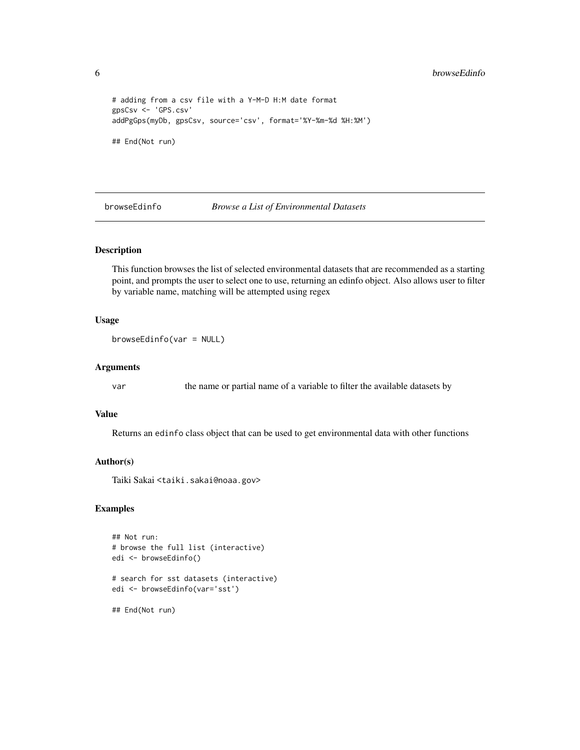```
# adding from a csv file with a Y-M-D H:M date format
gpsCsv <- 'GPS.csv'
addPgGps(myDb, gpsCsv, source='csv', format='%Y-%m-%d %H:%M')
## End(Not run)
```
browseEdinfo *Browse a List of Environmental Datasets*

# Description

This function browses the list of selected environmental datasets that are recommended as a starting point, and prompts the user to select one to use, returning an edinfo object. Also allows user to filter by variable name, matching will be attempted using regex

#### Usage

```
browseEdinfo(var = NULL)
```
#### Arguments

var the name or partial name of a variable to filter the available datasets by

#### Value

Returns an edinfo class object that can be used to get environmental data with other functions

#### Author(s)

Taiki Sakai <taiki.sakai@noaa.gov>

```
## Not run:
# browse the full list (interactive)
edi <- browseEdinfo()
# search for sst datasets (interactive)
edi <- browseEdinfo(var='sst')
## End(Not run)
```
<span id="page-5-0"></span>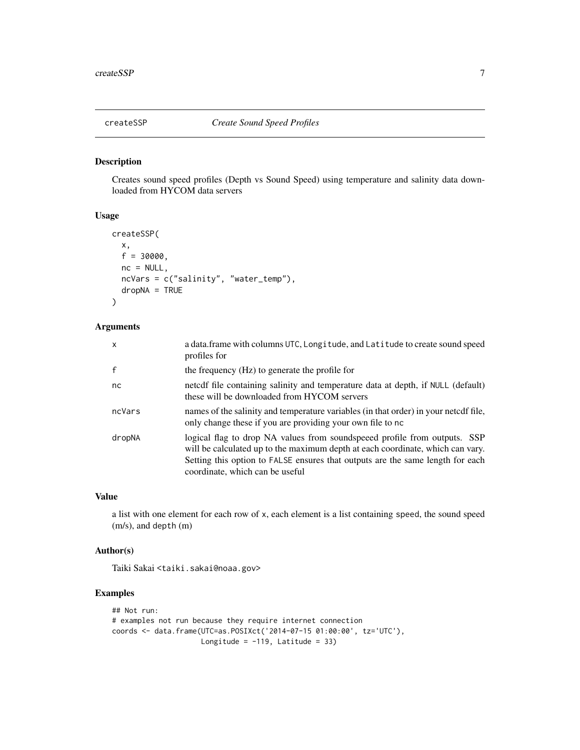<span id="page-6-0"></span>

Creates sound speed profiles (Depth vs Sound Speed) using temperature and salinity data downloaded from HYCOM data servers

### Usage

```
createSSP(
 x,
  f = 30000,
 nc = NULL,ncVars = c("salinity", "water_temp"),
 dropNA = TRUE)
```
#### Arguments

| $\mathsf{x}$ | a data.frame with columns UTC, Longitude, and Latitude to create sound speed<br>profiles for                                                                                                                                                                                     |
|--------------|----------------------------------------------------------------------------------------------------------------------------------------------------------------------------------------------------------------------------------------------------------------------------------|
| $\mathsf{f}$ | the frequency (Hz) to generate the profile for                                                                                                                                                                                                                                   |
| nc           | netedf file containing salinity and temperature data at depth, if NULL (default)<br>these will be downloaded from HYCOM servers                                                                                                                                                  |
| ncVars       | names of the salinity and temperature variables (in that order) in your netcdf file,<br>only change these if you are providing your own file to no                                                                                                                               |
| dropNA       | logical flag to drop NA values from soundspeeed profile from outputs. SSP<br>will be calculated up to the maximum depth at each coordinate, which can vary.<br>Setting this option to FALSE ensures that outputs are the same length for each<br>coordinate, which can be useful |

#### Value

a list with one element for each row of x, each element is a list containing speed, the sound speed (m/s), and depth (m)

#### Author(s)

Taiki Sakai <taiki.sakai@noaa.gov>

```
## Not run:
# examples not run because they require internet connection
coords <- data.frame(UTC=as.POSIXct('2014-07-15 01:00:00', tz='UTC'),
                    Longitude = -119, Latitude = 33)
```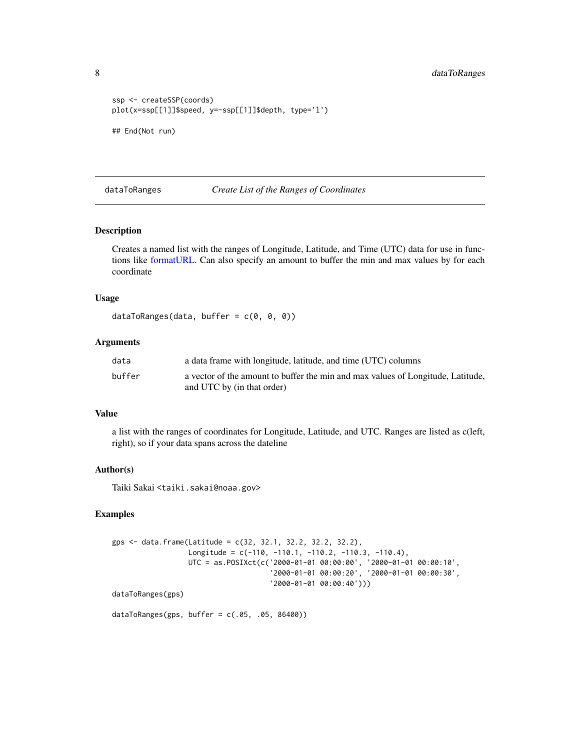<span id="page-7-0"></span>8 dataToRanges

```
ssp <- createSSP(coords)
plot(x=ssp[[1]]$speed, y=-ssp[[1]]$depth, type='l')
## End(Not run)
```
<span id="page-7-1"></span>dataToRanges *Create List of the Ranges of Coordinates*

# Description

Creates a named list with the ranges of Longitude, Latitude, and Time (UTC) data for use in functions like [formatURL.](#page-12-1) Can also specify an amount to buffer the min and max values by for each coordinate

# Usage

```
dataToRanges(data, buffer = c(\theta, \theta, \theta))
```
#### Arguments

| data   | a data frame with longitude, latitude, and time (UTC) columns                                                 |
|--------|---------------------------------------------------------------------------------------------------------------|
| buffer | a vector of the amount to buffer the min and max values of Longitude, Latitude,<br>and UTC by (in that order) |

#### Value

a list with the ranges of coordinates for Longitude, Latitude, and UTC. Ranges are listed as c(left, right), so if your data spans across the dateline

#### Author(s)

Taiki Sakai <taiki.sakai@noaa.gov>

```
gps <- data.frame(Latitude = c(32, 32.1, 32.2, 32.2, 32.2),
                 Longitude = c(-110, -110.1, -110.2, -110.3, -110.4),
                  UTC = as.POSIXct(c('2000-01-01 00:00:00', '2000-01-01 00:00:10',
                                     '2000-01-01 00:00:20', '2000-01-01 00:00:30',
                                     '2000-01-01 00:00:40')))
dataToRanges(gps)
```

```
dataToRanges(gps, buffer = c(.05, .05, 86400))
```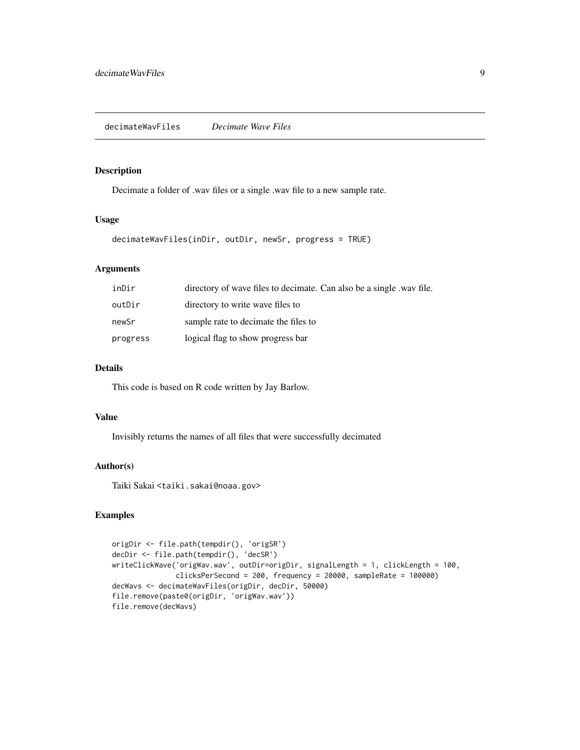<span id="page-8-0"></span>Decimate a folder of .wav files or a single .wav file to a new sample rate.

#### Usage

```
decimateWavFiles(inDir, outDir, newSr, progress = TRUE)
```
# Arguments

| inDir    | directory of wave files to decimate. Can also be a single way file. |
|----------|---------------------------------------------------------------------|
| outDir   | directory to write wave files to                                    |
| newSr    | sample rate to decimate the files to                                |
| progress | logical flag to show progress bar                                   |

## Details

This code is based on R code written by Jay Barlow.

#### Value

Invisibly returns the names of all files that were successfully decimated

# Author(s)

Taiki Sakai <taiki.sakai@noaa.gov>

```
origDir <- file.path(tempdir(), 'origSR')
decDir <- file.path(tempdir(), 'decSR')
writeClickWave('origWav.wav', outDir=origDir, signalLength = 1, clickLength = 100,
               clicksPerSecond = 200, frequency = 20000, sampleRate = 100000)
decWavs <- decimateWavFiles(origDir, decDir, 50000)
file.remove(paste0(origDir, 'origWav.wav'))
file.remove(decWavs)
```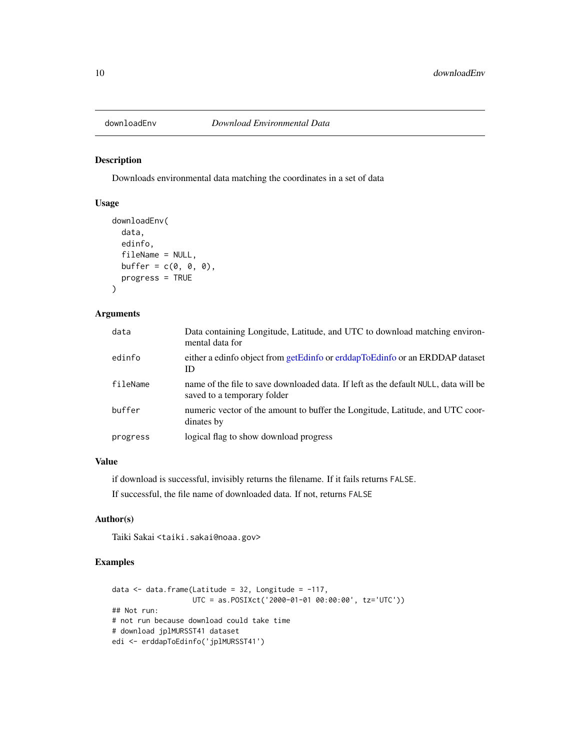<span id="page-9-0"></span>

Downloads environmental data matching the coordinates in a set of data

# Usage

```
downloadEnv(
  data,
  edinfo,
  fileName = NULL,
  buffer = c(\emptyset, \emptyset, \emptyset),
  progress = TRUE
)
```
# Arguments

| data     | Data containing Longitude, Latitude, and UTC to download matching environ-<br>mental data for                      |
|----------|--------------------------------------------------------------------------------------------------------------------|
| edinfo   | either a edinfo object from getEdinfo or erddapToEdinfo or an ERDDAP dataset<br>ID                                 |
| fileName | name of the file to save downloaded data. If left as the default NULL, data will be<br>saved to a temporary folder |
| buffer   | numeric vector of the amount to buffer the Longitude, Latitude, and UTC coor-<br>dinates by                        |
| progress | logical flag to show download progress                                                                             |

# Value

if download is successful, invisibly returns the filename. If it fails returns FALSE.

If successful, the file name of downloaded data. If not, returns FALSE

### Author(s)

Taiki Sakai <taiki.sakai@noaa.gov>

```
data \leq data.frame(Latitude = 32, Longitude = -117,
                   UTC = as.POSIXct('2000-01-01 00:00:00', tz='UTC'))
## Not run:
# not run because download could take time
# download jplMURSST41 dataset
edi <- erddapToEdinfo('jplMURSST41')
```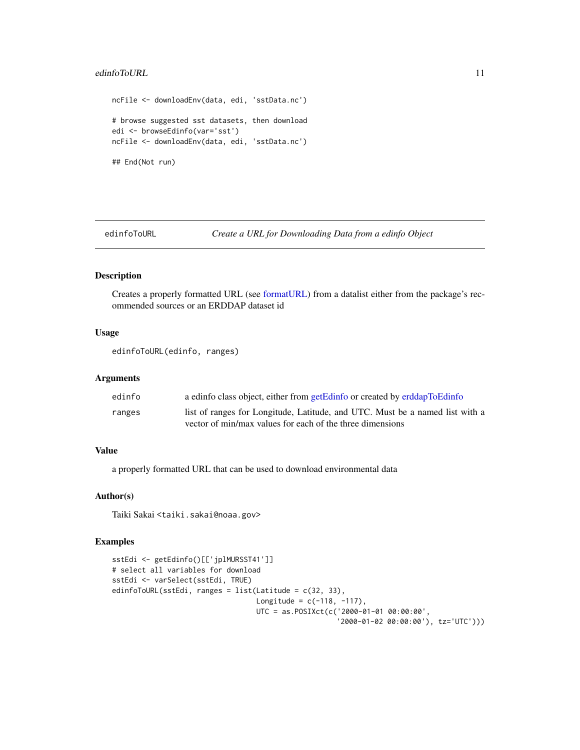# <span id="page-10-0"></span>edinfoToURL 11

```
ncFile <- downloadEnv(data, edi, 'sstData.nc')
# browse suggested sst datasets, then download
edi <- browseEdinfo(var='sst')
ncFile <- downloadEnv(data, edi, 'sstData.nc')
## End(Not run)
```
<span id="page-10-1"></span>edinfoToURL *Create a URL for Downloading Data from a edinfo Object*

# Description

Creates a properly formatted URL (see [formatURL\)](#page-12-1) from a datalist either from the package's recommended sources or an ERDDAP dataset id

# Usage

```
edinfoToURL(edinfo, ranges)
```
#### Arguments

| edinfo | a edinfo class object, either from getEdinfo or created by erddapToEdinfo    |
|--------|------------------------------------------------------------------------------|
| ranges | list of ranges for Longitude, Latitude, and UTC. Must be a named list with a |
|        | vector of min/max values for each of the three dimensions                    |

# Value

a properly formatted URL that can be used to download environmental data

# Author(s)

Taiki Sakai <taiki.sakai@noaa.gov>

```
sstEdi <- getEdinfo()[['jplMURSST41']]
# select all variables for download
sstEdi <- varSelect(sstEdi, TRUE)
edinfoToURL(sstEdi, ranges = list(Latitude = c(32, 33),
                                 Longitude = c(-118, -117),
                                  UTC = as.POSIXct(c('2000-01-01 00:00:00',
                                                     '2000-01-02 00:00:00'), tz='UTC')))
```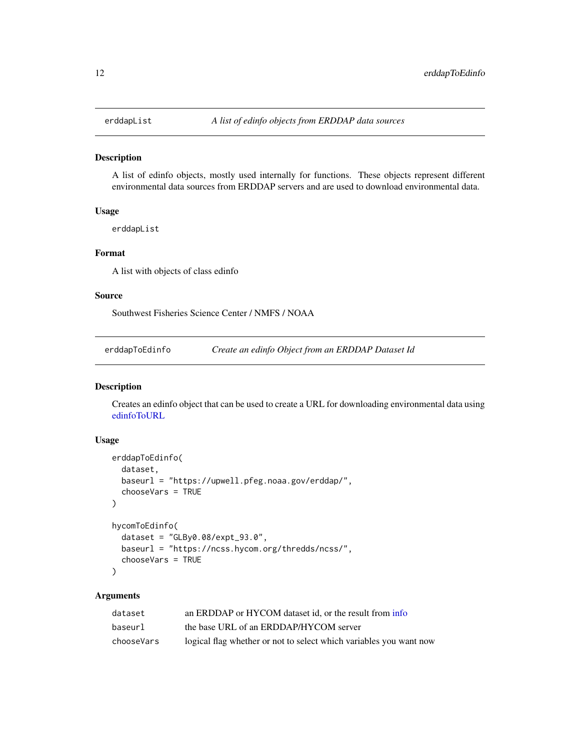<span id="page-11-0"></span>

A list of edinfo objects, mostly used internally for functions. These objects represent different environmental data sources from ERDDAP servers and are used to download environmental data.

#### Usage

erddapList

#### Format

A list with objects of class edinfo

# Source

Southwest Fisheries Science Center / NMFS / NOAA

<span id="page-11-1"></span>erddapToEdinfo *Create an edinfo Object from an ERDDAP Dataset Id*

# Description

Creates an edinfo object that can be used to create a URL for downloading environmental data using [edinfoToURL](#page-10-1)

#### Usage

```
erddapToEdinfo(
  dataset,
  baseurl = "https://upwell.pfeg.noaa.gov/erddap/",
  chooseVars = TRUE
)
hycomToEdinfo(
  dataset = "GLBy0.08/expt_93.0",
 baseurl = "https://ncss.hycom.org/thredds/ncss/",
  chooseVars = TRUE
\mathcal{L}
```

| dataset    | an ERDDAP or HYCOM dataset id, or the result from info             |
|------------|--------------------------------------------------------------------|
| baseurl    | the base URL of an ERDDAP/HYCOM server                             |
| chooseVars | logical flag whether or not to select which variables you want now |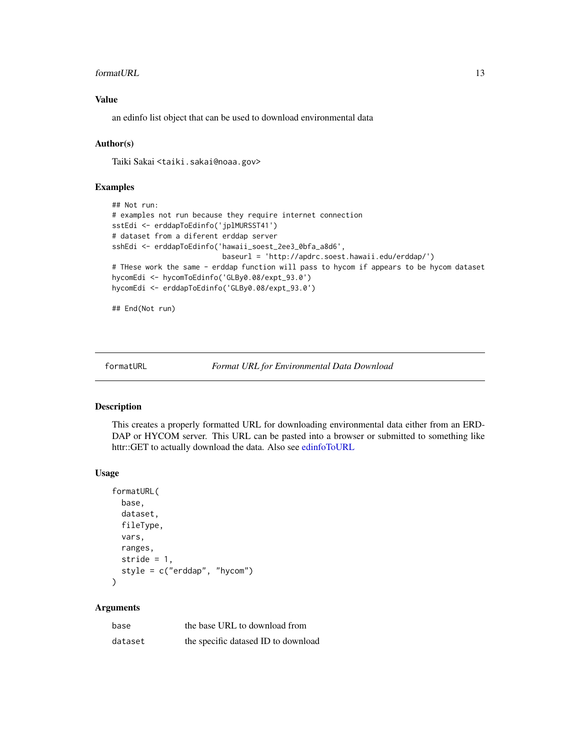#### <span id="page-12-0"></span>formatURL 13

# Value

an edinfo list object that can be used to download environmental data

# Author(s)

Taiki Sakai <taiki.sakai@noaa.gov>

# Examples

```
## Not run:
# examples not run because they require internet connection
sstEdi <- erddapToEdinfo('jplMURSST41')
# dataset from a diferent erddap server
sshEdi <- erddapToEdinfo('hawaii_soest_2ee3_0bfa_a8d6',
                          baseurl = 'http://apdrc.soest.hawaii.edu/erddap/')
# THese work the same - erddap function will pass to hycom if appears to be hycom dataset
hycomEdi <- hycomToEdinfo('GLBy0.08/expt_93.0')
hycomEdi <- erddapToEdinfo('GLBy0.08/expt_93.0')
```
## End(Not run)

<span id="page-12-1"></span>formatURL *Format URL for Environmental Data Download*

# Description

This creates a properly formatted URL for downloading environmental data either from an ERD-DAP or HYCOM server. This URL can be pasted into a browser or submitted to something like httr::GET to actually download the data. Also see [edinfoToURL](#page-10-1)

### Usage

```
formatURL(
 base,
  dataset,
  fileType,
  vars,
 ranges,
  stride = 1,
  style = c("erddap", "hycom")
)
```

| base    | the base URL to download from       |
|---------|-------------------------------------|
| dataset | the specific datased ID to download |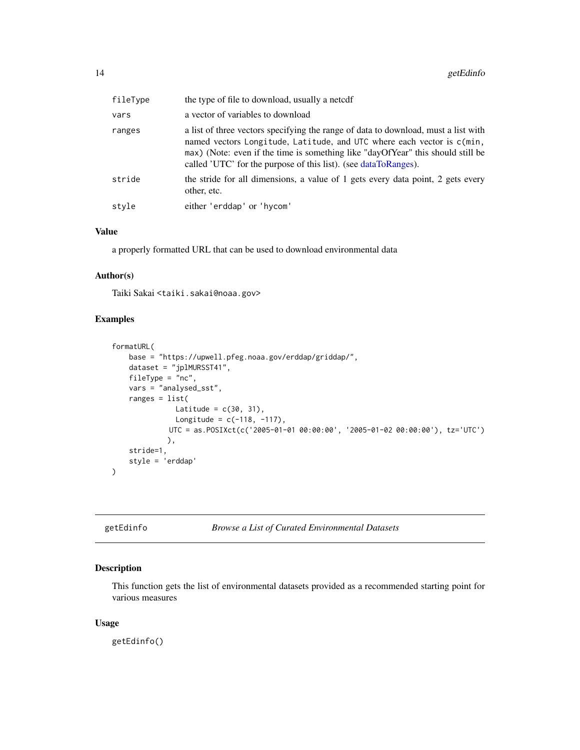<span id="page-13-0"></span>

| fileType | the type of file to download, usually a netcdf                                                                                                                                                                                                                                                                     |
|----------|--------------------------------------------------------------------------------------------------------------------------------------------------------------------------------------------------------------------------------------------------------------------------------------------------------------------|
| vars     | a vector of variables to download                                                                                                                                                                                                                                                                                  |
| ranges   | a list of three vectors specifying the range of data to download, must a list with<br>named vectors Longitude, Latitude, and UTC where each vector is c(min,<br>max) (Note: even if the time is something like "dayOfYear" this should still be<br>called 'UTC' for the purpose of this list). (see dataToRanges). |
| stride   | the stride for all dimensions, a value of 1 gets every data point, 2 gets every<br>other, etc.                                                                                                                                                                                                                     |
| style    | either 'erddap' or 'hycom'                                                                                                                                                                                                                                                                                         |

#### Value

a properly formatted URL that can be used to download environmental data

# Author(s)

Taiki Sakai <taiki.sakai@noaa.gov>

#### Examples

```
formatURL(
    base = "https://upwell.pfeg.noaa.gov/erddap/griddap/",
    dataset = "jplMURSST41",
    fileType = "nc",
    vars = "analysed_sst",
    ranges = list(
               Latitude = c(30, 31),
               Longitude = c(-118, -117),
             UTC = as.POSIXct(c('2005-01-01 00:00:00', '2005-01-02 00:00:00'), tz='UTC')
             ),
    stride=1,
    style = 'erddap'
\mathcal{L}
```

```
getEdinfo Browse a List of Curated Environmental Datasets
```
#### Description

This function gets the list of environmental datasets provided as a recommended starting point for various measures

#### Usage

getEdinfo()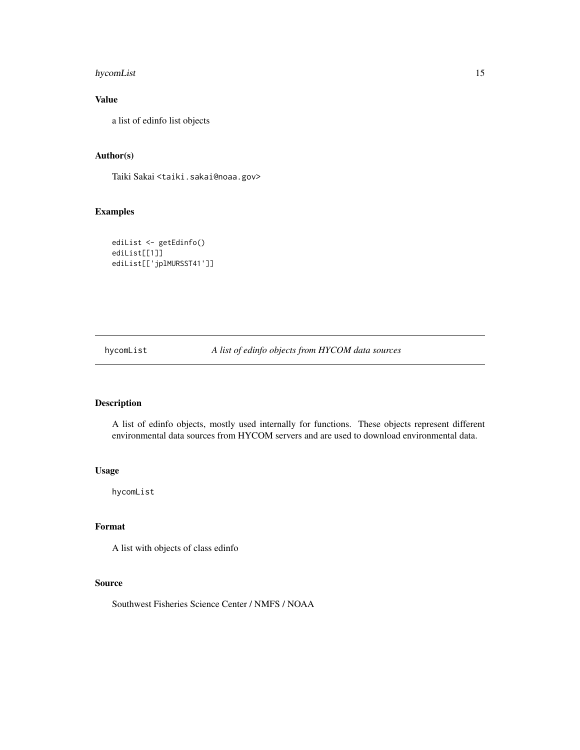# <span id="page-14-0"></span>hycomList 15

# Value

a list of edinfo list objects

# Author(s)

Taiki Sakai <taiki.sakai@noaa.gov>

# Examples

```
ediList <- getEdinfo()
ediList[[1]]
ediList[['jplMURSST41']]
```
hycomList *A list of edinfo objects from HYCOM data sources*

# Description

A list of edinfo objects, mostly used internally for functions. These objects represent different environmental data sources from HYCOM servers and are used to download environmental data.

#### Usage

hycomList

# Format

A list with objects of class edinfo

# Source

Southwest Fisheries Science Center / NMFS / NOAA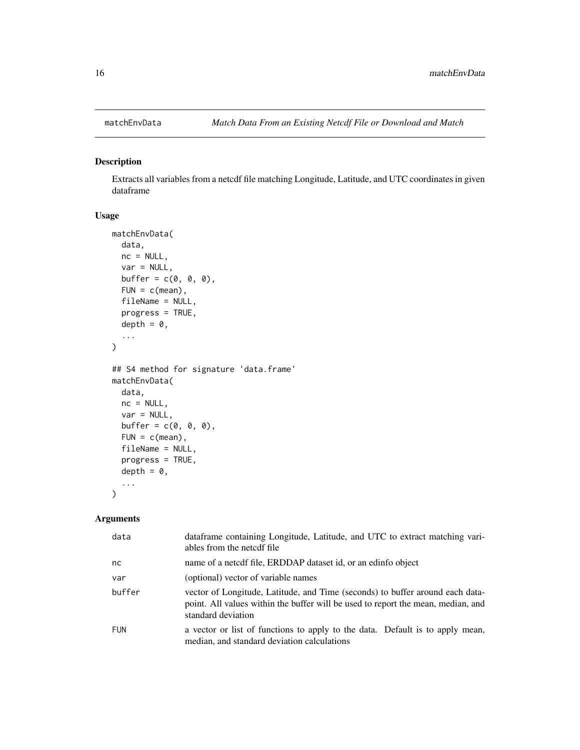<span id="page-15-0"></span>

Extracts all variables from a netcdf file matching Longitude, Latitude, and UTC coordinates in given dataframe

# Usage

```
matchEnvData(
  data,
  nc = NULL,var = NULL,buffer = c(\emptyset, \emptyset, \emptyset),
  FUN = c(mean),fileName = NULL,
  progress = TRUE,
  depth = 0,
  ...
\mathcal{L}## S4 method for signature 'data.frame'
matchEnvData(
  data,
  nc = NULL,var = NULL,buffer = c(\emptyset, \emptyset, \emptyset),
  FUN = c(mean),fileName = NULL,
  progress = TRUE,
  depth = 0,
  ...
)
```

| data       | dataframe containing Longitude, Latitude, and UTC to extract matching vari-<br>ables from the netedf file                                                                               |  |
|------------|-----------------------------------------------------------------------------------------------------------------------------------------------------------------------------------------|--|
| nc.        | name of a netcdf file, ERDDAP dataset id, or an edinfo object                                                                                                                           |  |
| var        | (optional) vector of variable names                                                                                                                                                     |  |
| buffer     | vector of Longitude, Latitude, and Time (seconds) to buffer around each data-<br>point. All values within the buffer will be used to report the mean, median, and<br>standard deviation |  |
| <b>FUN</b> | a vector or list of functions to apply to the data. Default is to apply mean,<br>median, and standard deviation calculations                                                            |  |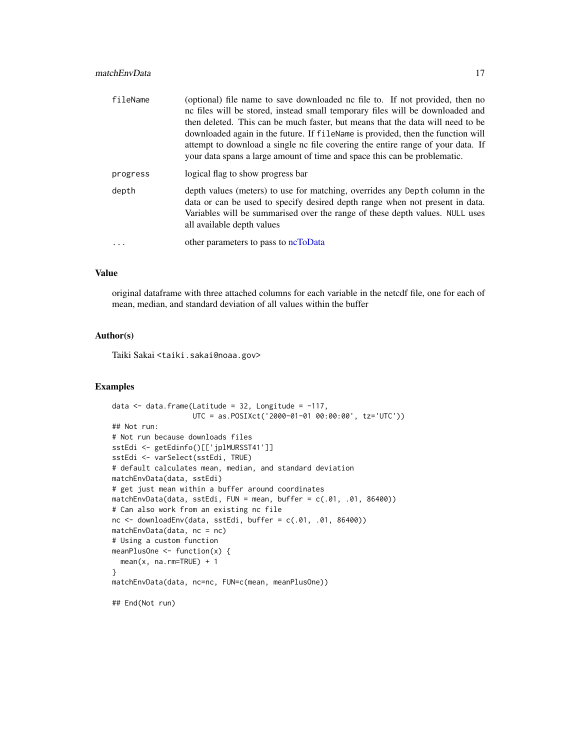# <span id="page-16-0"></span>matchEnvData 17

| fileName | (optional) file name to save downloaded no file to. If not provided, then no<br>no files will be stored, instead small temporary files will be downloaded and<br>then deleted. This can be much faster, but means that the data will need to be<br>downloaded again in the future. If filendme is provided, then the function will<br>attempt to download a single nc file covering the entire range of your data. If<br>your data spans a large amount of time and space this can be problematic. |  |
|----------|----------------------------------------------------------------------------------------------------------------------------------------------------------------------------------------------------------------------------------------------------------------------------------------------------------------------------------------------------------------------------------------------------------------------------------------------------------------------------------------------------|--|
| progress | logical flag to show progress bar                                                                                                                                                                                                                                                                                                                                                                                                                                                                  |  |
| depth    | depth values (meters) to use for matching, overrides any Depth column in the<br>data or can be used to specify desired depth range when not present in data.<br>Variables will be summarised over the range of these depth values. NULL uses<br>all available depth values                                                                                                                                                                                                                         |  |
| .        | other parameters to pass to ncToData                                                                                                                                                                                                                                                                                                                                                                                                                                                               |  |

# Value

original dataframe with three attached columns for each variable in the netcdf file, one for each of mean, median, and standard deviation of all values within the buffer

# Author(s)

Taiki Sakai <taiki.sakai@noaa.gov>

```
data \leq data.frame(Latitude = 32, Longitude = -117,
                   UTC = as.POSIXct('2000-01-01 00:00:00', tz='UTC'))
## Not run:
# Not run because downloads files
sstEdi <- getEdinfo()[['jplMURSST41']]
sstEdi <- varSelect(sstEdi, TRUE)
# default calculates mean, median, and standard deviation
matchEnvData(data, sstEdi)
# get just mean within a buffer around coordinates
matchEnvData(data, sstEdi, FUN = mean, buffer = c(.01, .01, 86400))
# Can also work from an existing nc file
nc <- downloadEnv(data, sstEdi, buffer = c(.01, .01, 86400))
matchEnvData(data, nc = nc)
# Using a custom function
meanPlusOne <- function(x) {
  mean(x, na.rm=TRUE) + 1
}
matchEnvData(data, nc=nc, FUN=c(mean, meanPlusOne))
## End(Not run)
```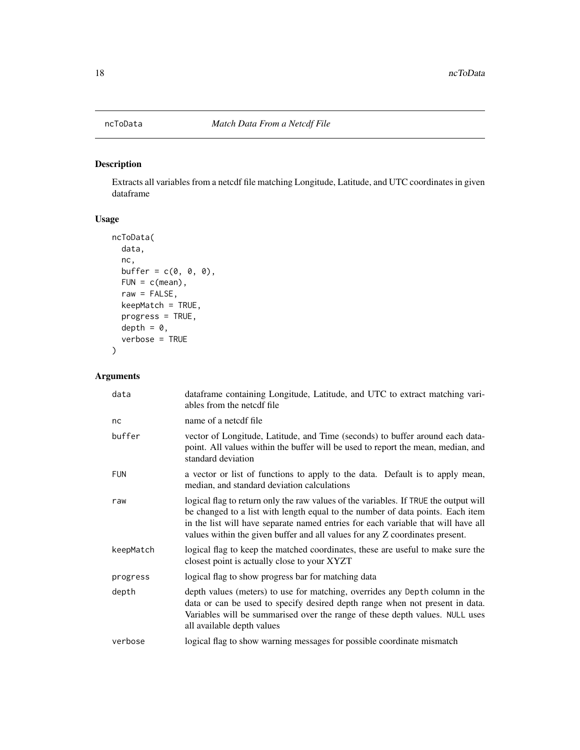<span id="page-17-1"></span><span id="page-17-0"></span>

Extracts all variables from a netcdf file matching Longitude, Latitude, and UTC coordinates in given dataframe

# Usage

```
ncToData(
 data,
  nc,
 buffer = c(0, 0, 0),FUN = c(mean),
  raw = FALSE,keepMatch = TRUE,
 progress = TRUE,
 depth = 0,
  verbose = TRUE
)
```

| data       | dataframe containing Longitude, Latitude, and UTC to extract matching vari-<br>ables from the netcdf file                                                                                                                                                                                                                                   |
|------------|---------------------------------------------------------------------------------------------------------------------------------------------------------------------------------------------------------------------------------------------------------------------------------------------------------------------------------------------|
| nc         | name of a netedf file                                                                                                                                                                                                                                                                                                                       |
| buffer     | vector of Longitude, Latitude, and Time (seconds) to buffer around each data-<br>point. All values within the buffer will be used to report the mean, median, and<br>standard deviation                                                                                                                                                     |
| <b>FUN</b> | a vector or list of functions to apply to the data. Default is to apply mean,<br>median, and standard deviation calculations                                                                                                                                                                                                                |
| raw        | logical flag to return only the raw values of the variables. If TRUE the output will<br>be changed to a list with length equal to the number of data points. Each item<br>in the list will have separate named entries for each variable that will have all<br>values within the given buffer and all values for any Z coordinates present. |
| keepMatch  | logical flag to keep the matched coordinates, these are useful to make sure the<br>closest point is actually close to your XYZT                                                                                                                                                                                                             |
| progress   | logical flag to show progress bar for matching data                                                                                                                                                                                                                                                                                         |
| depth      | depth values (meters) to use for matching, overrides any Depth column in the<br>data or can be used to specify desired depth range when not present in data.<br>Variables will be summarised over the range of these depth values. NULL uses<br>all available depth values                                                                  |
| verbose    | logical flag to show warning messages for possible coordinate mismatch                                                                                                                                                                                                                                                                      |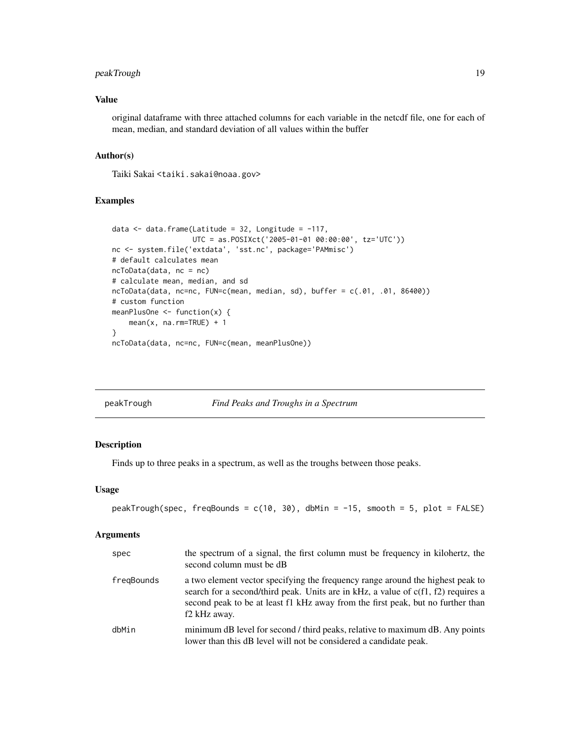# <span id="page-18-0"></span>peakTrough 19

#### Value

original dataframe with three attached columns for each variable in the netcdf file, one for each of mean, median, and standard deviation of all values within the buffer

# Author(s)

Taiki Sakai <taiki.sakai@noaa.gov>

#### Examples

```
data \leq data.frame(Latitude = 32, Longitude = -117,
                   UTC = as.POSIXct('2005-01-01 00:00:00', tz='UTC'))
nc <- system.file('extdata', 'sst.nc', package='PAMmisc')
# default calculates mean
ncToData(data, nc = nc)
# calculate mean, median, and sd
ncToData(data, nc=nc, FUN=c(mean, median, sd), buffer = c(.01, .01, 86400))
# custom function
meanPlusOne <- function(x) {
   mean(x, na.rm=TRUE) + 1}
ncToData(data, nc=nc, FUN=c(mean, meanPlusOne))
```
peakTrough *Find Peaks and Troughs in a Spectrum*

#### Description

Finds up to three peaks in a spectrum, as well as the troughs between those peaks.

#### Usage

```
peakTrough(spec, freqBounds = c(10, 30), dbMin = -15, smooth = 5, plot = FALSE)
```

| spec       | the spectrum of a signal, the first column must be frequency in kilohertz, the<br>second column must be dB                                                                                                                                                             |
|------------|------------------------------------------------------------------------------------------------------------------------------------------------------------------------------------------------------------------------------------------------------------------------|
| fregBounds | a two element vector specifying the frequency range around the highest peak to<br>search for a second/third peak. Units are in kHz, a value of c(f1, f2) requires a<br>second peak to be at least f1 kHz away from the first peak, but no further than<br>f2 kHz away. |
| dbMin      | minimum dB level for second / third peaks, relative to maximum dB. Any points<br>lower than this dB level will not be considered a candidate peak.                                                                                                                     |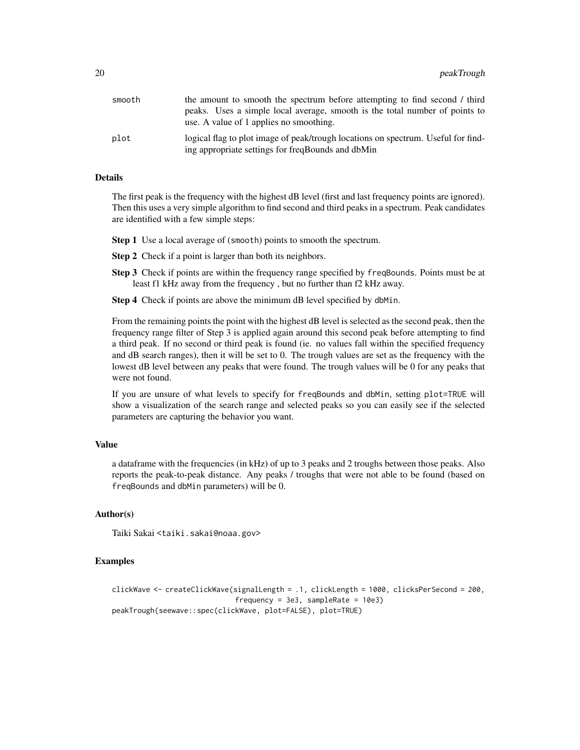| smooth | the amount to smooth the spectrum before attempting to find second / third        |
|--------|-----------------------------------------------------------------------------------|
|        | peaks. Uses a simple local average, smooth is the total number of points to       |
|        | use. A value of 1 applies no smoothing.                                           |
| plot   | logical flag to plot image of peak/trough locations on spectrum. Useful for find- |
|        | ing appropriate settings for freqBounds and dbMin                                 |

# Details

The first peak is the frequency with the highest dB level (first and last frequency points are ignored). Then this uses a very simple algorithm to find second and third peaks in a spectrum. Peak candidates are identified with a few simple steps:

- **Step 1** Use a local average of (smooth) points to smooth the spectrum.
- Step 2 Check if a point is larger than both its neighbors.
- Step 3 Check if points are within the frequency range specified by freqBounds. Points must be at least f1 kHz away from the frequency , but no further than f2 kHz away.
- Step 4 Check if points are above the minimum dB level specified by dbMin.

From the remaining points the point with the highest dB level is selected as the second peak, then the frequency range filter of Step 3 is applied again around this second peak before attempting to find a third peak. If no second or third peak is found (ie. no values fall within the specified frequency and dB search ranges), then it will be set to 0. The trough values are set as the frequency with the lowest dB level between any peaks that were found. The trough values will be 0 for any peaks that were not found.

If you are unsure of what levels to specify for freqBounds and dbMin, setting plot=TRUE will show a visualization of the search range and selected peaks so you can easily see if the selected parameters are capturing the behavior you want.

#### Value

a dataframe with the frequencies (in kHz) of up to 3 peaks and 2 troughs between those peaks. Also reports the peak-to-peak distance. Any peaks / troughs that were not able to be found (based on freqBounds and dbMin parameters) will be 0.

#### Author(s)

Taiki Sakai <taiki.sakai@noaa.gov>

```
clickWave <- createClickWave(signalLength = .1, clickLength = 1000, clicksPerSecond = 200,
                             frequency = 3e3, sampleRate = 10e3)
peakTrough(seewave::spec(clickWave, plot=FALSE), plot=TRUE)
```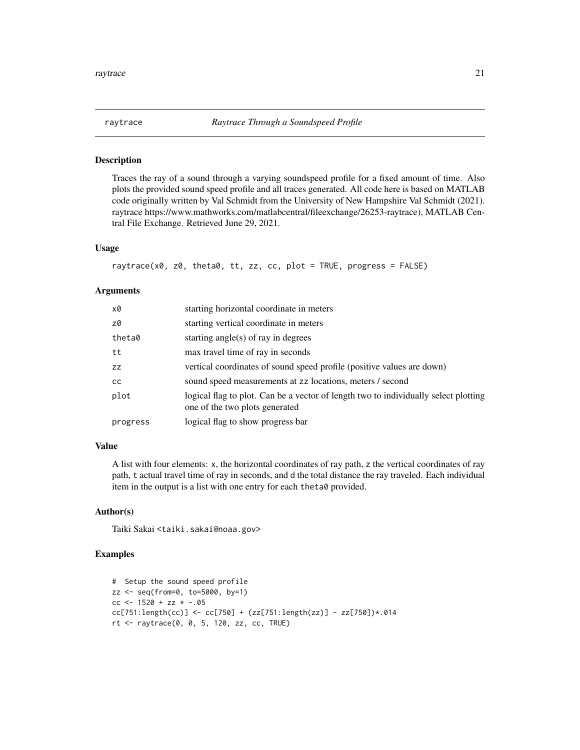<span id="page-20-0"></span>

Traces the ray of a sound through a varying soundspeed profile for a fixed amount of time. Also plots the provided sound speed profile and all traces generated. All code here is based on MATLAB code originally written by Val Schmidt from the University of New Hampshire Val Schmidt (2021). raytrace https://www.mathworks.com/matlabcentral/fileexchange/26253-raytrace), MATLAB Central File Exchange. Retrieved June 29, 2021.

# Usage

raytrace(x0, z0, theta0, tt, zz, cc, plot = TRUE, progress = FALSE)

#### Arguments

| x0            | starting horizontal coordinate in meters                                                                              |
|---------------|-----------------------------------------------------------------------------------------------------------------------|
| z0            | starting vertical coordinate in meters                                                                                |
| theta0        | starting angle(s) of ray in degrees                                                                                   |
| tt            | max travel time of ray in seconds                                                                                     |
| ZZ            | vertical coordinates of sound speed profile (positive values are down)                                                |
| <sub>CC</sub> | sound speed measurements at zz locations, meters / second                                                             |
| plot          | logical flag to plot. Can be a vector of length two to individually select plotting<br>one of the two plots generated |
| progress      | logical flag to show progress bar                                                                                     |

# Value

A list with four elements: x, the horizontal coordinates of ray path, z the vertical coordinates of ray path, t actual travel time of ray in seconds, and d the total distance the ray traveled. Each individual item in the output is a list with one entry for each theta0 provided.

#### Author(s)

Taiki Sakai <taiki.sakai@noaa.gov>

```
# Setup the sound speed profile
zz <- seq(from=0, to=5000, by=1)
cc <- 1520 + zz * -.05
cc[751:length(cc)] <- cc[750] + (zz[751:length(zz)] - zz[750])*.014
rt <- raytrace(0, 0, 5, 120, zz, cc, TRUE)
```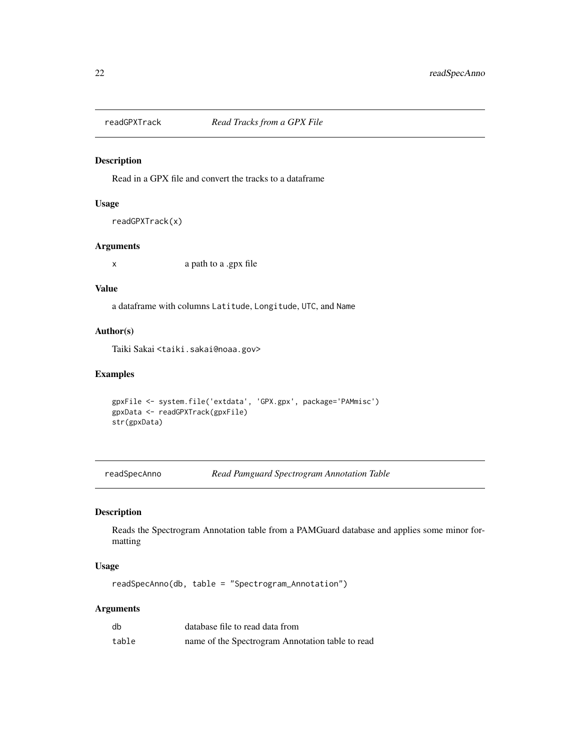<span id="page-21-0"></span>

Read in a GPX file and convert the tracks to a dataframe

#### Usage

```
readGPXTrack(x)
```
# Arguments

x a path to a .gpx file

# Value

a dataframe with columns Latitude, Longitude, UTC, and Name

# Author(s)

Taiki Sakai <taiki.sakai@noaa.gov>

# Examples

```
gpxFile <- system.file('extdata', 'GPX.gpx', package='PAMmisc')
gpxData <- readGPXTrack(gpxFile)
str(gpxData)
```
readSpecAnno *Read Pamguard Spectrogram Annotation Table*

# Description

Reads the Spectrogram Annotation table from a PAMGuard database and applies some minor formatting

# Usage

readSpecAnno(db, table = "Spectrogram\_Annotation")

| db    | database file to read data from                  |
|-------|--------------------------------------------------|
| table | name of the Spectrogram Annotation table to read |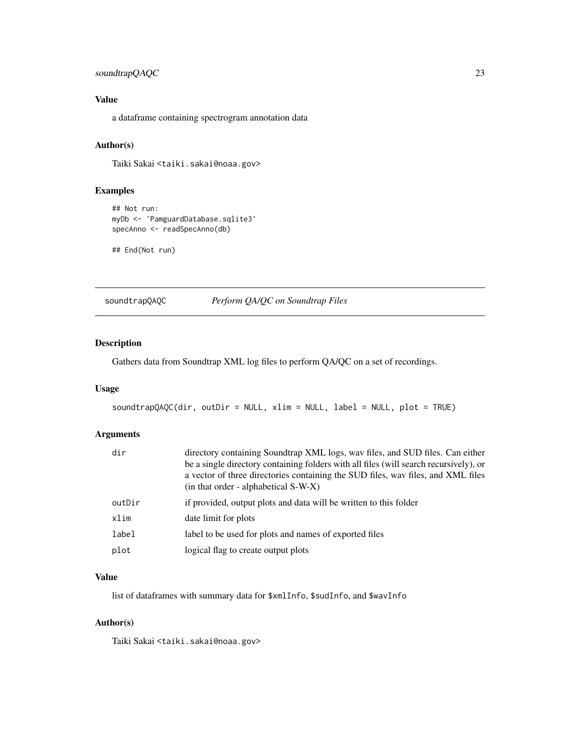# <span id="page-22-0"></span>soundtrapQAQC 23

# Value

a dataframe containing spectrogram annotation data

# Author(s)

Taiki Sakai <taiki.sakai@noaa.gov>

# Examples

```
## Not run:
myDb <- 'PamguardDatabase.sqlite3'
specAnno <- readSpecAnno(db)
```
## End(Not run)

soundtrapQAQC *Perform QA/QC on Soundtrap Files*

# Description

Gathers data from Soundtrap XML log files to perform QA/QC on a set of recordings.

#### Usage

```
soundtrapQAQC(dir, outDir = NULL, xlim = NULL, label = NULL, plot = TRUE)
```
# Arguments

| dir    | directory containing Soundtrap XML logs, wav files, and SUD files. Can either<br>be a single directory containing folders with all files (will search recursively), or<br>a vector of three directories containing the SUD files, wav files, and XML files<br>(in that order - alphabetical S-W-X) |
|--------|----------------------------------------------------------------------------------------------------------------------------------------------------------------------------------------------------------------------------------------------------------------------------------------------------|
| outDir | if provided, output plots and data will be written to this folder                                                                                                                                                                                                                                  |
| xlim   | date limit for plots                                                                                                                                                                                                                                                                               |
| label  | label to be used for plots and names of exported files                                                                                                                                                                                                                                             |
| plot   | logical flag to create output plots                                                                                                                                                                                                                                                                |

#### Value

list of dataframes with summary data for \$xmlInfo, \$sudInfo, and \$wavInfo

# Author(s)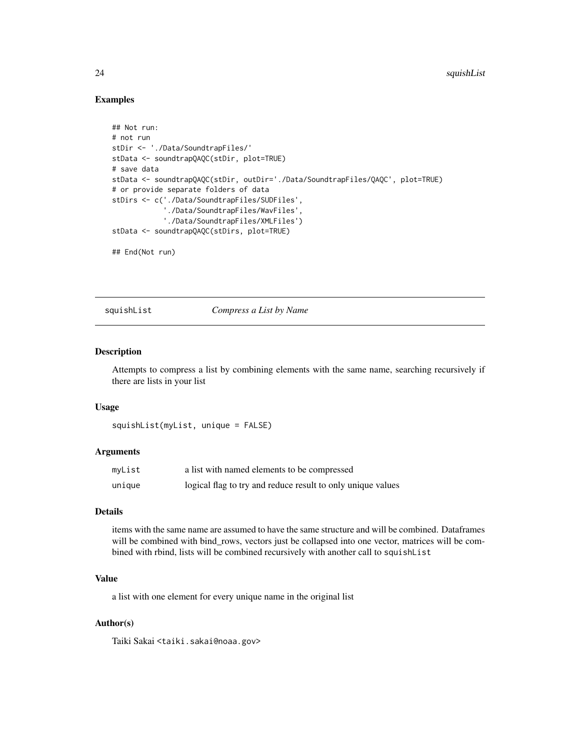#### Examples

```
## Not run:
# not run
stDir <- './Data/SoundtrapFiles/'
stData <- soundtrapQAQC(stDir, plot=TRUE)
# save data
stData <- soundtrapQAQC(stDir, outDir='./Data/SoundtrapFiles/QAQC', plot=TRUE)
# or provide separate folders of data
stDirs <- c('./Data/SoundtrapFiles/SUDFiles',
            './Data/SoundtrapFiles/WavFiles',
            './Data/SoundtrapFiles/XMLFiles')
stData <- soundtrapQAQC(stDirs, plot=TRUE)
## End(Not run)
```
squishList *Compress a List by Name*

# Description

Attempts to compress a list by combining elements with the same name, searching recursively if there are lists in your list

#### Usage

squishList(myList, unique = FALSE)

#### Arguments

| myList | a list with named elements to be compressed                 |
|--------|-------------------------------------------------------------|
| unique | logical flag to try and reduce result to only unique values |

#### Details

items with the same name are assumed to have the same structure and will be combined. Dataframes will be combined with bind\_rows, vectors just be collapsed into one vector, matrices will be combined with rbind, lists will be combined recursively with another call to squishList

# Value

a list with one element for every unique name in the original list

#### Author(s)

<span id="page-23-0"></span>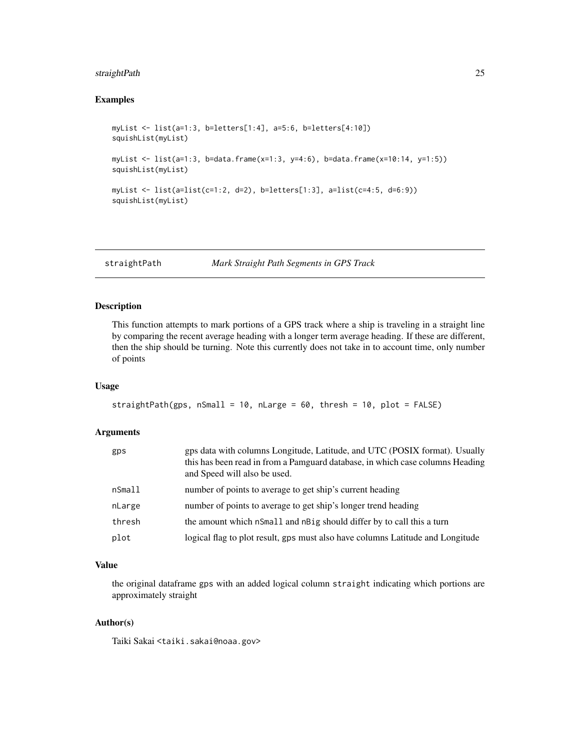# <span id="page-24-0"></span>straightPath 25

# Examples

```
myList <- list(a=1:3, b=letters[1:4], a=5:6, b=letters[4:10])
squishList(myList)
myList <- list(a=1:3, b=data.frame(x=1:3, y=4:6), b=data.frame(x=10:14, y=1:5))
squishList(myList)
myList <- list(a=list(c=1:2, d=2), b=letters[1:3], a=list(c=4:5, d=6:9))
squishList(myList)
```
straightPath *Mark Straight Path Segments in GPS Track*

#### Description

This function attempts to mark portions of a GPS track where a ship is traveling in a straight line by comparing the recent average heading with a longer term average heading. If these are different, then the ship should be turning. Note this currently does not take in to account time, only number of points

# Usage

```
straightPath(gps, nSmall = 10, nLarge = 60, thresh = 10, plot = FALSE)
```
# Arguments

| gps    | gps data with columns Longitude, Latitude, and UTC (POSIX format). Usually<br>this has been read in from a Pamguard database, in which case columns Heading<br>and Speed will also be used. |
|--------|---------------------------------------------------------------------------------------------------------------------------------------------------------------------------------------------|
| nSmall | number of points to average to get ship's current heading                                                                                                                                   |
| nLarge | number of points to average to get ship's longer trend heading                                                                                                                              |
| thresh | the amount which nSmall and nBig should differ by to call this a turn                                                                                                                       |
| plot   | logical flag to plot result, gps must also have columns Latitude and Longitude                                                                                                              |

#### Value

the original dataframe gps with an added logical column straight indicating which portions are approximately straight

# Author(s)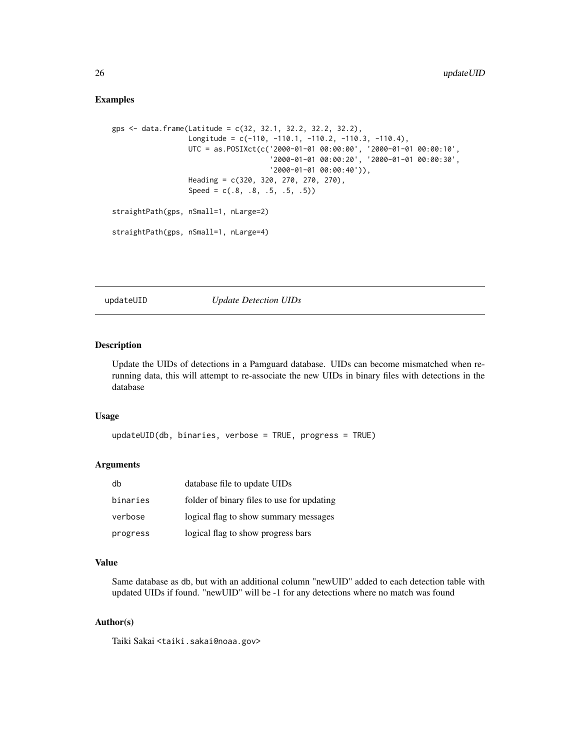# <span id="page-25-0"></span>Examples

```
gps <- data.frame(Latitude = c(32, 32.1, 32.2, 32.2, 32.2),
                  Longitude = c(-110, -110.1, -110.2, -110.3, -110.4),
                  UTC = as.POSIXct(c('2000-01-01 00:00:00', '2000-01-01 00:00:10',
                                      '2000-01-01 00:00:20', '2000-01-01 00:00:30',
                                     '2000-01-01 00:00:40')),
                  Heading = c(320, 320, 270, 270, 270),
                  Speed = c(.8, .8, .5, .5, .5))straightPath(gps, nSmall=1, nLarge=2)
straightPath(gps, nSmall=1, nLarge=4)
```
updateUID *Update Detection UIDs*

#### Description

Update the UIDs of detections in a Pamguard database. UIDs can become mismatched when rerunning data, this will attempt to re-associate the new UIDs in binary files with detections in the database

# Usage

```
updateUID(db, binaries, verbose = TRUE, progress = TRUE)
```
#### Arguments

| db       | database file to update UIDs               |
|----------|--------------------------------------------|
| binaries | folder of binary files to use for updating |
| verbose  | logical flag to show summary messages      |
| progress | logical flag to show progress bars         |

#### Value

Same database as db, but with an additional column "newUID" added to each detection table with updated UIDs if found. "newUID" will be -1 for any detections where no match was found

#### Author(s)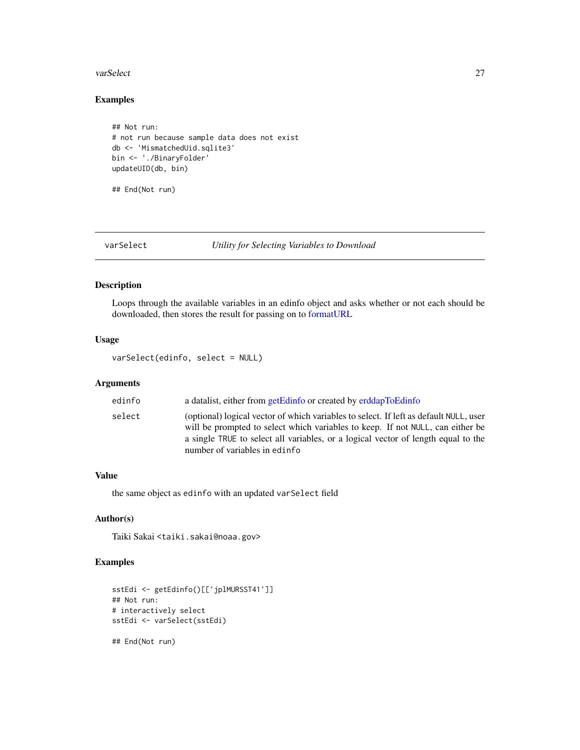#### <span id="page-26-0"></span>varSelect 27

# Examples

```
## Not run:
# not run because sample data does not exist
db <- 'MismatchedUid.sqlite3'
bin <- './BinaryFolder'
updateUID(db, bin)
```
## End(Not run)

varSelect *Utility for Selecting Variables to Download*

#### Description

Loops through the available variables in an edinfo object and asks whether or not each should be downloaded, then stores the result for passing on to [formatURL](#page-12-1)

#### Usage

varSelect(edinfo, select = NULL)

# Arguments

| edinfo | a datalist, either from getEdinfo or created by erddapToEdinfo                                                                                                                                                                                                                                |
|--------|-----------------------------------------------------------------------------------------------------------------------------------------------------------------------------------------------------------------------------------------------------------------------------------------------|
| select | (optional) logical vector of which variables to select. If left as default NULL, user<br>will be prompted to select which variables to keep. If not NULL, can either be<br>a single TRUE to select all variables, or a logical vector of length equal to the<br>number of variables in edinfo |

# Value

the same object as edinfo with an updated varSelect field

# Author(s)

Taiki Sakai <taiki.sakai@noaa.gov>

```
sstEdi <- getEdinfo()[['jplMURSST41']]
## Not run:
# interactively select
sstEdi <- varSelect(sstEdi)
## End(Not run)
```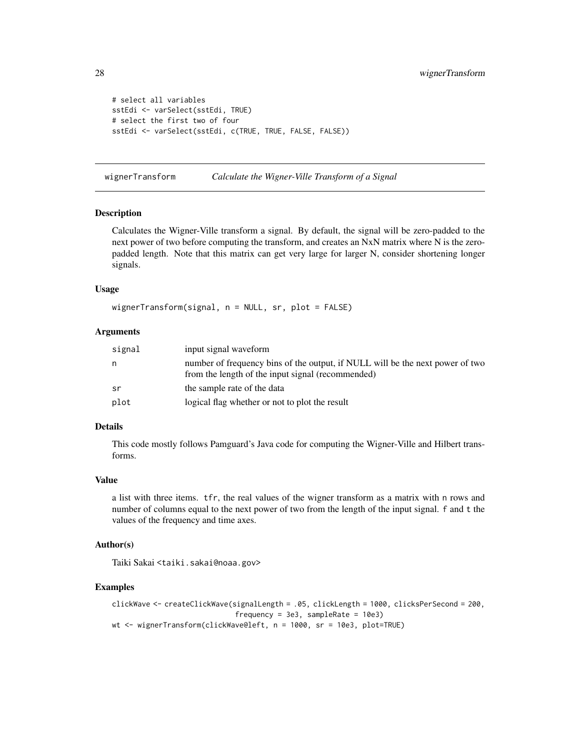```
# select all variables
sstEdi <- varSelect(sstEdi, TRUE)
# select the first two of four
sstEdi <- varSelect(sstEdi, c(TRUE, TRUE, FALSE, FALSE))
```
wignerTransform *Calculate the Wigner-Ville Transform of a Signal*

# Description

Calculates the Wigner-Ville transform a signal. By default, the signal will be zero-padded to the next power of two before computing the transform, and creates an NxN matrix where N is the zeropadded length. Note that this matrix can get very large for larger N, consider shortening longer signals.

#### Usage

wignerTransform(signal, n = NULL, sr, plot = FALSE)

#### Arguments

| signal | input signal waveform                                                                                                              |
|--------|------------------------------------------------------------------------------------------------------------------------------------|
| n      | number of frequency bins of the output, if NULL will be the next power of two<br>from the length of the input signal (recommended) |
| sr     | the sample rate of the data                                                                                                        |
| plot   | logical flag whether or not to plot the result                                                                                     |

# Details

This code mostly follows Pamguard's Java code for computing the Wigner-Ville and Hilbert transforms.

#### Value

a list with three items. tfr, the real values of the wigner transform as a matrix with n rows and number of columns equal to the next power of two from the length of the input signal. f and t the values of the frequency and time axes.

#### Author(s)

Taiki Sakai <taiki.sakai@noaa.gov>

```
clickWave <- createClickWave(signalLength = .05, clickLength = 1000, clicksPerSecond = 200,
                             frequency = 3e3, sampleRate = 10e3)
wt <- wignerTransform(clickWave@left, n = 1000, sr = 10e3, plot=TRUE)
```
<span id="page-27-0"></span>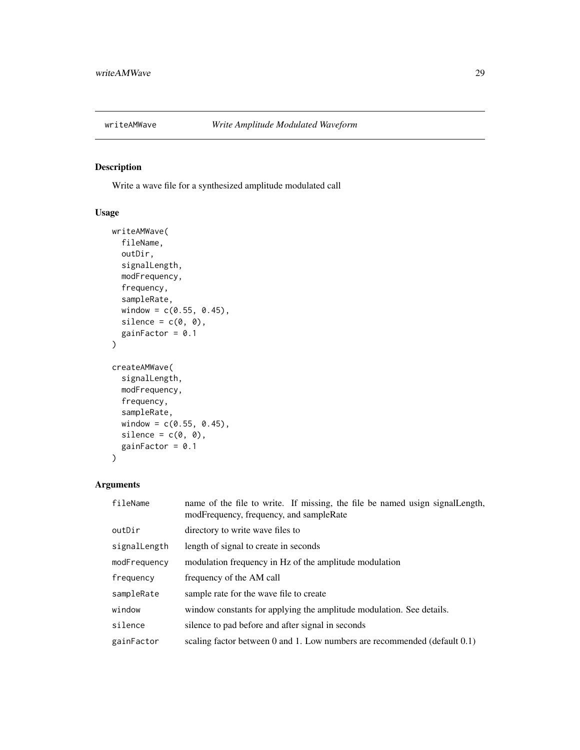<span id="page-28-0"></span>

Write a wave file for a synthesized amplitude modulated call

# Usage

```
writeAMWave(
  fileName,
  outDir,
  signalLength,
  modFrequency,
  frequency,
  sampleRate,
  window = c(0.55, 0.45),
  silence = c(\emptyset, \emptyset),
  gainFactor = 0.1\mathcal{L}createAMWave(
  signalLength,
  modFrequency,
  frequency,
  sampleRate,
  window = c(0.55, 0.45),
  silence = c(0, 0),gainFactor = 0.1)
```

| fileName     | name of the file to write. If missing, the file be named usign signal Length,<br>modFrequency, frequency, and sampleRate |
|--------------|--------------------------------------------------------------------------------------------------------------------------|
| outDir       | directory to write wave files to                                                                                         |
| signalLength | length of signal to create in seconds                                                                                    |
| modFrequency | modulation frequency in Hz of the amplitude modulation                                                                   |
| frequency    | frequency of the AM call                                                                                                 |
| sampleRate   | sample rate for the wave file to create                                                                                  |
| window       | window constants for applying the amplitude modulation. See details.                                                     |
| silence      | silence to pad before and after signal in seconds                                                                        |
| gainFactor   | scaling factor between 0 and 1. Low numbers are recommended (default $0.1$ )                                             |
|              |                                                                                                                          |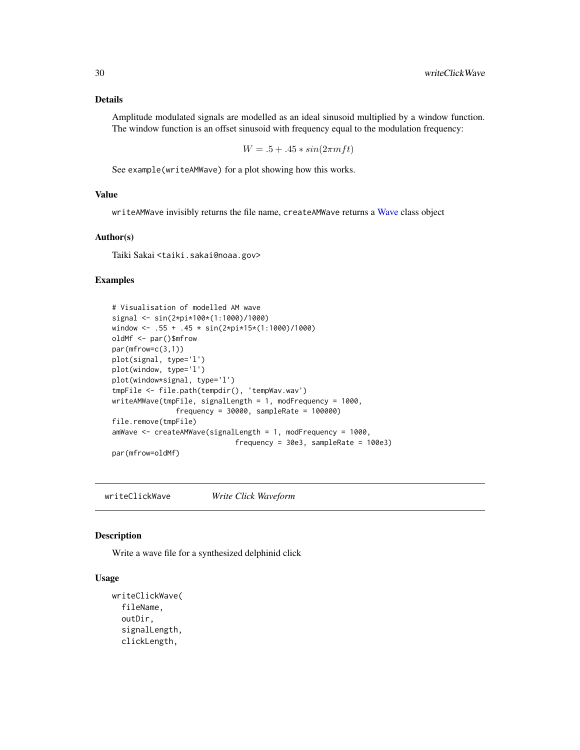# <span id="page-29-0"></span>Details

Amplitude modulated signals are modelled as an ideal sinusoid multiplied by a window function. The window function is an offset sinusoid with frequency equal to the modulation frequency:

 $W = .5 + .45 * sin(2\pi m ft)$ 

See example(writeAMWave) for a plot showing how this works.

#### Value

writeAMWave invisibly returns the file name, createAMWave returns a [Wave](#page-0-0) class object

#### Author(s)

Taiki Sakai <taiki.sakai@noaa.gov>

# Examples

```
# Visualisation of modelled AM wave
signal <- sin(2*pi*100*(1:1000)/1000)
window <- .55 + .45 * sin(2*pi*15*(1:1000)/1000)
oldMf <- par()$mfrow
par(mfrow=c(3,1))
plot(signal, type='l')
plot(window, type='l')
plot(window*signal, type='l')
tmpFile <- file.path(tempdir(), 'tempWav.wav')
writeAMWave(tmpFile, signalLength = 1, modFrequency = 1000,
               frequency = 30000, sampleRate = 100000)
file.remove(tmpFile)
amWave <- createAMWave(signalLength = 1, modFrequency = 1000,
                             frequency = 30e3, sampleRate = 100e3)
par(mfrow=oldMf)
```
writeClickWave *Write Click Waveform*

#### Description

Write a wave file for a synthesized delphinid click

#### Usage

```
writeClickWave(
  fileName,
  outDir,
  signalLength,
  clickLength,
```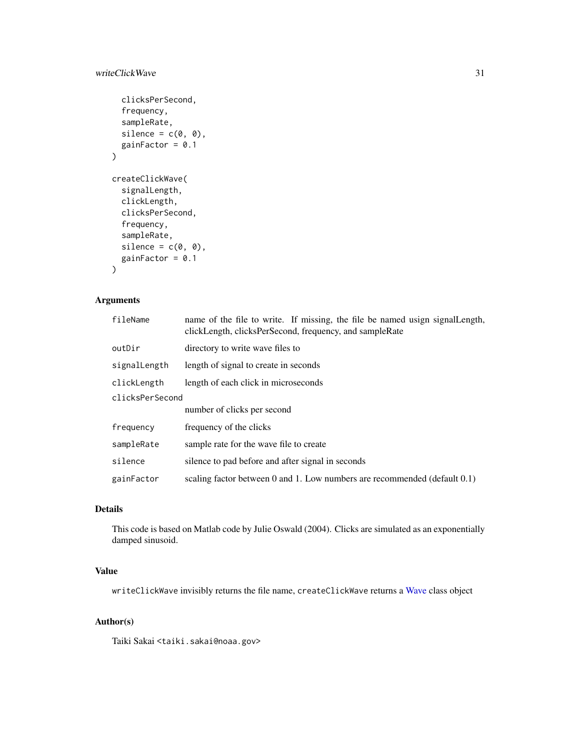# <span id="page-30-0"></span>writeClickWave 31

```
clicksPerSecond,
  frequency,
  sampleRate,
  silence = c(\emptyset, \emptyset),
  gainFactor = 0.1\mathcal{L}createClickWave(
  signalLength,
  clickLength,
  clicksPerSecond,
  frequency,
  sampleRate,
  silence = c(0, 0),gainFactor = 0.1)
```
# Arguments

| fileName        | name of the file to write. If missing, the file be named usign signal Length,<br>clickLength, clicksPerSecond, frequency, and sampleRate |  |
|-----------------|------------------------------------------------------------------------------------------------------------------------------------------|--|
| outDir          | directory to write wave files to                                                                                                         |  |
| signalLength    | length of signal to create in seconds                                                                                                    |  |
| clickLength     | length of each click in microseconds                                                                                                     |  |
| clicksPerSecond |                                                                                                                                          |  |
|                 | number of clicks per second                                                                                                              |  |
| frequency       | frequency of the clicks                                                                                                                  |  |
| sampleRate      | sample rate for the wave file to create                                                                                                  |  |
| silence         | silence to pad before and after signal in seconds                                                                                        |  |
| gainFactor      | scaling factor between 0 and 1. Low numbers are recommended (default $0.1$ )                                                             |  |

# Details

This code is based on Matlab code by Julie Oswald (2004). Clicks are simulated as an exponentially damped sinusoid.

# Value

writeClickWave invisibly returns the file name, createClickWave returns a [Wave](#page-0-0) class object

# Author(s)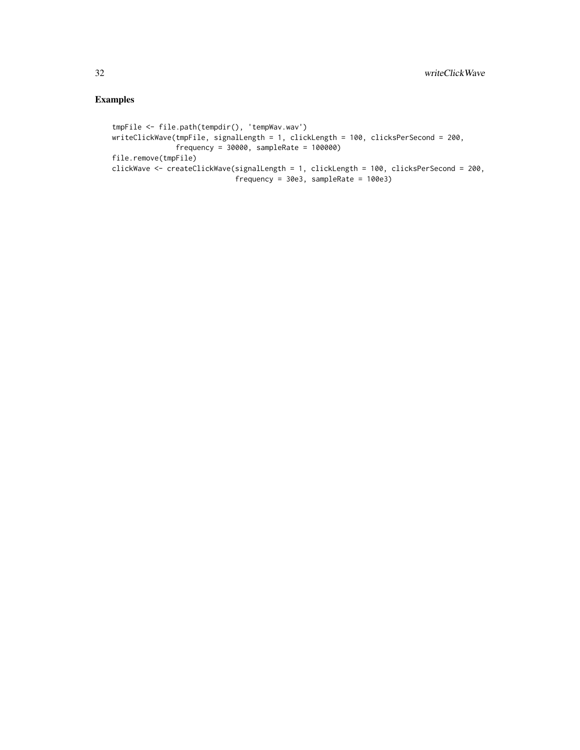```
tmpFile <- file.path(tempdir(), 'tempWav.wav')
writeClickWave(tmpFile, signalLength = 1, clickLength = 100, clicksPerSecond = 200,
              frequency = 30000, sampleRate = 100000)
file.remove(tmpFile)
clickWave <- createClickWave(signalLength = 1, clickLength = 100, clicksPerSecond = 200,
                            frequency = 30e3, sampleRate = 100e3)
```